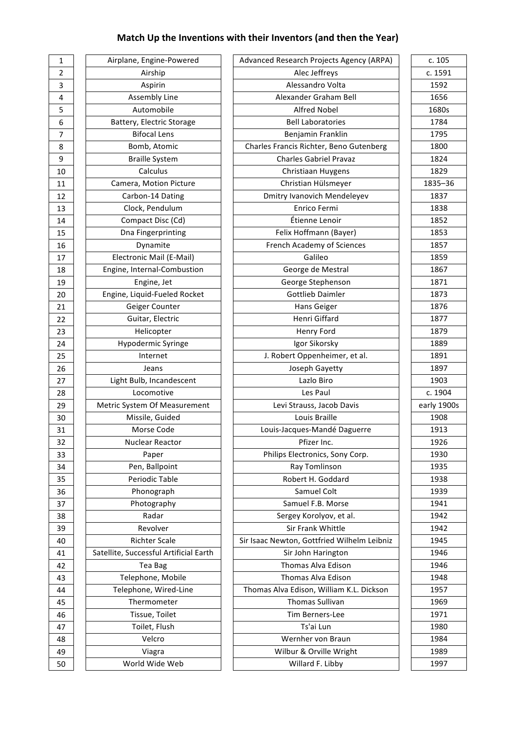# **Match Up the Inventions with their Inventors (and then the Year)**

| 1                          |               |
|----------------------------|---------------|
| $\overline{a}$             |               |
| 3                          |               |
| 4                          |               |
| 5                          |               |
| 6                          |               |
| 7                          |               |
| 8                          |               |
| 9                          |               |
| 10                         |               |
| 11                         |               |
| $\overline{12}$            |               |
| 13                         |               |
| 14                         |               |
| 15                         |               |
| 16<br>17                   |               |
| 18                         |               |
| 19                         |               |
| 20                         |               |
| 21                         |               |
| $\overline{22}$            |               |
| 23                         |               |
| 24                         |               |
| 25                         |               |
| 26                         |               |
| 27                         |               |
| 28                         |               |
| 29                         |               |
| 30                         |               |
| 31                         |               |
| 32                         |               |
| 33                         |               |
| 34                         |               |
| 35<br>:                    |               |
| 36<br>ĵ                    |               |
| 37                         |               |
| 38<br>:<br>:               |               |
| $\ddot{\phantom{0}}$<br>39 |               |
| 40                         |               |
| 41                         | $\frac{1}{2}$ |
| 42                         |               |
| 43                         |               |
| 44                         |               |
| 45                         |               |
| 46                         |               |
| 47                         |               |
| 48                         |               |
| 49                         |               |

| Airplane, Engine-Powered               |
|----------------------------------------|
| Airship                                |
| Aspirin                                |
| Assembly Line                          |
| Automobile                             |
| Battery, Electric Storage              |
| <b>Bifocal Lens</b>                    |
| Bomb, Atomic                           |
| <b>Braille System</b>                  |
| Calculus                               |
| Camera, Motion Picture                 |
| Carbon-14 Dating                       |
| Clock, Pendulum                        |
| Compact Disc (Cd)                      |
| Dna Fingerprinting                     |
| Dynamite                               |
| Electronic Mail (E-Mail)               |
| Engine, Internal-Combustion            |
| Engine, Jet                            |
| Engine, Liquid-Fueled Rocket           |
| Geiger Counter                         |
| Guitar, Electric                       |
| Helicopter                             |
| Hypodermic Syringe                     |
| Internet                               |
| Jeans                                  |
| Light Bulb, Incandescent               |
| Locomotive                             |
| Metric System Of Measurement           |
| Missile, Guided                        |
| Morse Code                             |
| Nuclear Reactor                        |
| Paper                                  |
| Pen, Ballpoint                         |
| Periodic Table                         |
| Phonograph                             |
| Photography                            |
| Radar                                  |
| Revolver                               |
| <b>Richter Scale</b>                   |
| Satellite, Successful Artificial Earth |
|                                        |
| Tea Bag                                |
| Telephone, Mobile                      |
| Telephone, Wired-Line                  |
| Thermometer                            |
| Tissue, Toilet                         |
| Toilet, Flush                          |
| Velcro                                 |
| Viagra                                 |
| World Wide Web                         |
|                                        |

| $\mathbf{1}$            | Airplane, Engine-Powered               | Advanced Research Projects Agency (ARPA)    | c. 105      |
|-------------------------|----------------------------------------|---------------------------------------------|-------------|
| $\overline{2}$          | Airship                                | Alec Jeffreys                               | c. 1591     |
| $\mathsf 3$             | Aspirin                                | Alessandro Volta                            | 1592        |
| $\overline{\mathbf{4}}$ | Assembly Line                          | Alexander Graham Bell                       | 1656        |
| 5                       | Automobile                             | <b>Alfred Nobel</b>                         | 1680s       |
| $\boldsymbol{6}$        | Battery, Electric Storage              | <b>Bell Laboratories</b>                    | 1784        |
| $\overline{7}$          | <b>Bifocal Lens</b>                    | Benjamin Franklin                           | 1795        |
| 8                       | Bomb, Atomic                           | Charles Francis Richter, Beno Gutenberg     | 1800        |
| 9                       | <b>Braille System</b>                  | <b>Charles Gabriel Pravaz</b>               | 1824        |
| 10                      | Calculus                               | Christiaan Huygens                          | 1829        |
| 11                      | Camera, Motion Picture                 | Christian Hülsmeyer                         | 1835-36     |
| 12                      | Carbon-14 Dating                       | Dmitry Ivanovich Mendeleyev                 | 1837        |
| 13                      | Clock, Pendulum                        | Enrico Fermi                                | 1838        |
| 14                      | Compact Disc (Cd)                      | Étienne Lenoir                              | 1852        |
| 15                      | Dna Fingerprinting                     | Felix Hoffmann (Bayer)                      | 1853        |
| 16                      | Dynamite                               | French Academy of Sciences                  | 1857        |
| 17                      | Electronic Mail (E-Mail)               | Galileo                                     | 1859        |
| 18                      | Engine, Internal-Combustion            | George de Mestral                           | 1867        |
| 19                      | Engine, Jet                            | George Stephenson                           | 1871        |
| 20                      | Engine, Liquid-Fueled Rocket           | <b>Gottlieb Daimler</b>                     | 1873        |
| 21                      | Geiger Counter                         | Hans Geiger                                 | 1876        |
| 22                      | Guitar, Electric                       | Henri Giffard                               | 1877        |
| 23                      | Helicopter                             | Henry Ford                                  | 1879        |
| 24                      | Hypodermic Syringe                     | Igor Sikorsky                               | 1889        |
| 25                      | Internet                               | J. Robert Oppenheimer, et al.               | 1891        |
| 26                      | Jeans                                  | Joseph Gayetty                              | 1897        |
| 27                      | Light Bulb, Incandescent               | Lazlo Biro                                  | 1903        |
| 28                      | Locomotive                             | Les Paul                                    | c. 1904     |
| 29                      | Metric System Of Measurement           | Levi Strauss, Jacob Davis                   | early 1900s |
| 30                      | Missile, Guided                        | Louis Braille                               | 1908        |
| 31                      | Morse Code                             | Louis-Jacques-Mandé Daguerre                | 1913        |
| 32                      | Nuclear Reactor                        | Pfizer Inc.                                 | 1926        |
| 33                      | Paper                                  | Philips Electronics, Sony Corp.             | 1930        |
| 34                      | Pen, Ballpoint                         | Ray Tomlinson                               | 1935        |
| 35                      | Periodic Table                         | Robert H. Goddard                           | 1938        |
| 36                      | Phonograph                             | Samuel Colt                                 | 1939        |
| 37                      | Photography                            | Samuel F.B. Morse                           | 1941        |
| 38                      | Radar                                  | Sergey Korolyov, et al.                     | 1942        |
| 39                      | Revolver                               | Sir Frank Whittle                           | 1942        |
| 40                      | <b>Richter Scale</b>                   | Sir Isaac Newton, Gottfried Wilhelm Leibniz | 1945        |
| 41                      | Satellite, Successful Artificial Earth | Sir John Harington                          | 1946        |
| 42                      | Tea Bag                                | Thomas Alva Edison                          | 1946        |
|                         | Telephone, Mobile                      | Thomas Alva Edison                          | 1948        |
| 43<br>44                | Telephone, Wired-Line                  | Thomas Alva Edison, William K.L. Dickson    | 1957        |
|                         | Thermometer                            | Thomas Sullivan                             | 1969        |
| 45                      |                                        |                                             |             |
| 46                      | Tissue, Toilet                         | Tim Berners-Lee                             | 1971        |
| 47                      | Toilet, Flush                          | Ts'ai Lun                                   | 1980        |
| 48                      | Velcro                                 | Wernher von Braun                           | 1984        |
| 49                      | Viagra                                 | Wilbur & Orville Wright                     | 1989        |
| 50                      | World Wide Web                         | Willard F. Libby                            | 1997        |

| c. 1591<br>1592<br>1656<br>1680s<br>1784<br>1795<br>1800 |
|----------------------------------------------------------|
|                                                          |
|                                                          |
|                                                          |
|                                                          |
|                                                          |
|                                                          |
|                                                          |
| 1824                                                     |
| 1829                                                     |
| 1835-36                                                  |
| 1837                                                     |
| 1838                                                     |
| 1852                                                     |
| 1853                                                     |
| 1857                                                     |
| 1859                                                     |
| 1867                                                     |
| 1871                                                     |
| 1873                                                     |
| 1876                                                     |
| 1877                                                     |
|                                                          |
|                                                          |
| 1879                                                     |
| 1889                                                     |
| 1891                                                     |
| 1897                                                     |
| 1903                                                     |
| c. 1904                                                  |
| early 1900s                                              |
| 1908                                                     |
| 1913                                                     |
| 1926                                                     |
| _<br>1930                                                |
| 1935                                                     |
| 1938                                                     |
| 1939                                                     |
| 1941                                                     |
| 1942                                                     |
| 1942                                                     |
| 1945                                                     |
| 1946                                                     |
| 1946                                                     |
| 1948                                                     |
| 1957                                                     |
| 1969                                                     |
| 1971                                                     |
| 1980                                                     |
| 1984                                                     |
| 1989                                                     |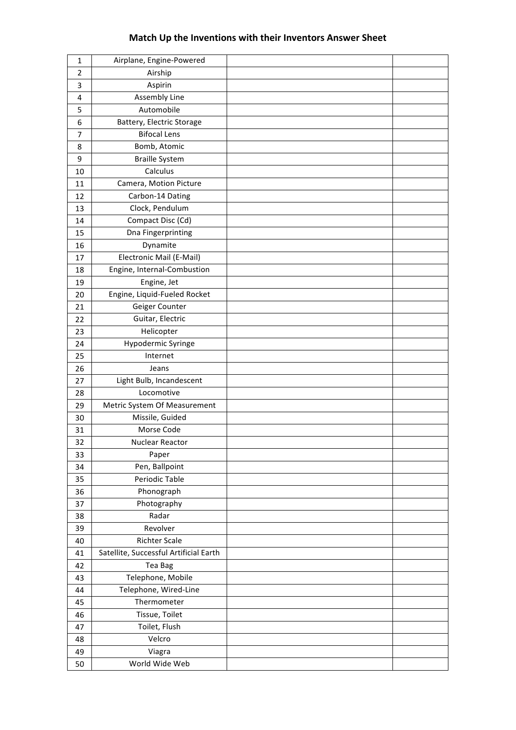### **Match Up the Inventions with their Inventors Answer Sheet**

| $\mathbf{1}$   | Airplane, Engine-Powered               |  |
|----------------|----------------------------------------|--|
| $\overline{2}$ | Airship                                |  |
| 3              | Aspirin                                |  |
| 4              | Assembly Line                          |  |
| 5              | Automobile                             |  |
| 6              | Battery, Electric Storage              |  |
| 7              | <b>Bifocal Lens</b>                    |  |
| 8              | Bomb, Atomic                           |  |
| 9              | <b>Braille System</b>                  |  |
| 10             | Calculus                               |  |
| 11             | Camera, Motion Picture                 |  |
| 12             | Carbon-14 Dating                       |  |
| 13             | Clock, Pendulum                        |  |
| 14             | Compact Disc (Cd)                      |  |
| 15             | Dna Fingerprinting                     |  |
| 16             | Dynamite                               |  |
| 17             | Electronic Mail (E-Mail)               |  |
| 18             | Engine, Internal-Combustion            |  |
| 19             | Engine, Jet                            |  |
| 20             | Engine, Liquid-Fueled Rocket           |  |
| 21             | Geiger Counter                         |  |
| 22             | Guitar, Electric                       |  |
| 23             | Helicopter                             |  |
| 24             | Hypodermic Syringe                     |  |
| 25             | Internet                               |  |
| 26             | Jeans                                  |  |
| 27             | Light Bulb, Incandescent               |  |
| 28             | Locomotive                             |  |
| 29             | Metric System Of Measurement           |  |
| 30             | Missile, Guided                        |  |
| 31             | Morse Code                             |  |
| 32             | Nuclear Reactor                        |  |
| 33             | Paper                                  |  |
| 34             | Pen, Ballpoint                         |  |
| 35             | Periodic Table                         |  |
| 36             | Phonograph                             |  |
| 37             | Photography                            |  |
| 38             | Radar                                  |  |
| 39             | Revolver                               |  |
| 40             | <b>Richter Scale</b>                   |  |
| 41             | Satellite, Successful Artificial Earth |  |
| 42             | Tea Bag                                |  |
| 43             | Telephone, Mobile                      |  |
| 44             | Telephone, Wired-Line                  |  |
| 45             | Thermometer                            |  |
| 46             | Tissue, Toilet                         |  |
| 47             | Toilet, Flush                          |  |
| 48             | Velcro                                 |  |
| 49             | Viagra                                 |  |
| 50             | World Wide Web                         |  |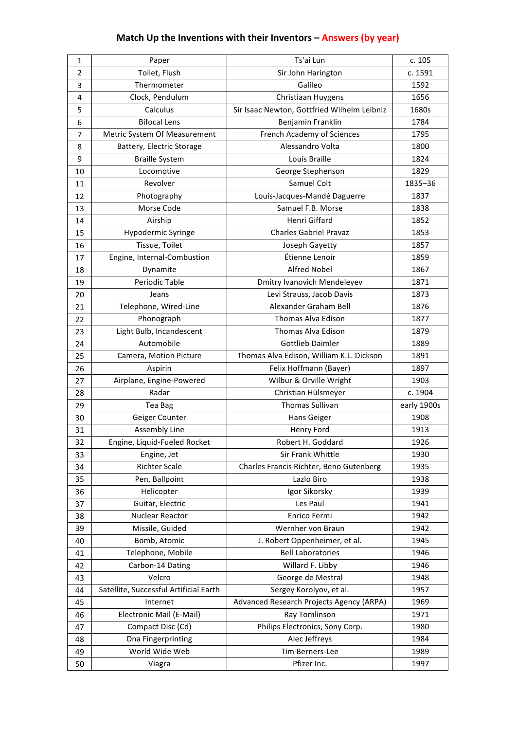## **Match Up the Inventions with their Inventors - Answers (by year)**

| 1              | Paper                                  | Ts'ai Lun                                   | c. 105       |
|----------------|----------------------------------------|---------------------------------------------|--------------|
| $\overline{2}$ | Toilet, Flush                          | Sir John Harington                          | c. 1591      |
| 3              | Thermometer                            | Galileo                                     | 1592         |
| 4              | Clock, Pendulum                        | Christiaan Huygens                          | 1656         |
| 5              | Calculus                               | Sir Isaac Newton, Gottfried Wilhelm Leibniz | 1680s        |
| 6              | <b>Bifocal Lens</b>                    | Benjamin Franklin                           | 1784         |
| $\overline{7}$ | Metric System Of Measurement           | French Academy of Sciences                  | 1795         |
| 8              | Battery, Electric Storage              | Alessandro Volta                            | 1800         |
| 9              | <b>Braille System</b>                  | Louis Braille                               | 1824         |
| 10             | Locomotive                             | George Stephenson                           | 1829         |
| 11             | Revolver                               | Samuel Colt                                 | 1835-36      |
| 12             | Photography                            | Louis-Jacques-Mandé Daguerre                | 1837         |
| 13             | Morse Code                             | Samuel F.B. Morse                           | 1838         |
| 14             | Airship                                | Henri Giffard                               | 1852         |
| 15             | Hypodermic Syringe                     | <b>Charles Gabriel Pravaz</b>               | 1853         |
| 16             | Tissue, Toilet                         | Joseph Gayetty                              | 1857         |
| 17             | Engine, Internal-Combustion            | Étienne Lenoir                              | 1859         |
| 18             | Dynamite                               | <b>Alfred Nobel</b>                         | 1867         |
| 19             | Periodic Table                         | Dmitry Ivanovich Mendeleyev                 | 1871         |
| 20             | Jeans                                  | Levi Strauss, Jacob Davis                   | 1873         |
| 21             | Telephone, Wired-Line                  | Alexander Graham Bell                       | 1876         |
| 22             | Phonograph                             | <b>Thomas Alva Edison</b>                   | 1877         |
| 23             | Light Bulb, Incandescent               | Thomas Alva Edison                          | 1879         |
| 24             | Automobile                             | <b>Gottlieb Daimler</b>                     | 1889         |
| 25             | Camera, Motion Picture                 | Thomas Alva Edison, William K.L. Dickson    | 1891         |
| 26             | Aspirin                                | Felix Hoffmann (Bayer)                      | 1897         |
| 27             | Airplane, Engine-Powered               | Wilbur & Orville Wright                     | 1903         |
| 28             | Radar                                  | Christian Hülsmeyer                         | c. 1904      |
| 29             | Tea Bag                                | <b>Thomas Sullivan</b>                      | early 1900s  |
| 30             | Geiger Counter                         | Hans Geiger                                 | 1908         |
| 31             | <b>Assembly Line</b>                   | Henry Ford                                  | 1913         |
| 32             | Engine, Liquid-Fueled Rocket           | Robert H. Goddard                           | 1926         |
| 33             | Engine, Jet                            | Sir Frank Whittle                           | 1930         |
| 34             | <b>Richter Scale</b>                   | Charles Francis Richter, Beno Gutenberg     | 1935         |
| 35             |                                        |                                             |              |
|                | Pen, Ballpoint                         | Lazlo Biro                                  | 1938         |
| 36             | Helicopter                             | Igor Sikorsky                               | 1939         |
| 37             | Guitar, Electric                       | Les Paul                                    | 1941         |
| 38             | Nuclear Reactor                        | Enrico Fermi                                | 1942         |
| 39             | Missile, Guided                        | Wernher von Braun                           | 1942         |
| 40             | Bomb, Atomic                           | J. Robert Oppenheimer, et al.               | 1945         |
| 41             | Telephone, Mobile                      | <b>Bell Laboratories</b>                    | 1946         |
| 42             | Carbon-14 Dating                       | Willard F. Libby                            | 1946         |
| 43             | Velcro                                 | George de Mestral                           | 1948         |
| 44             | Satellite, Successful Artificial Earth | Sergey Korolyov, et al.                     | 1957         |
| 45             | Internet                               | Advanced Research Projects Agency (ARPA)    | 1969         |
| 46             | Electronic Mail (E-Mail)               | Ray Tomlinson                               | 1971         |
| 47             | Compact Disc (Cd)                      | Philips Electronics, Sony Corp.             | 1980         |
| 48             | Dna Fingerprinting                     | Alec Jeffreys                               | 1984         |
| 49             | World Wide Web                         | Tim Berners-Lee<br>Pfizer Inc.              | 1989<br>1997 |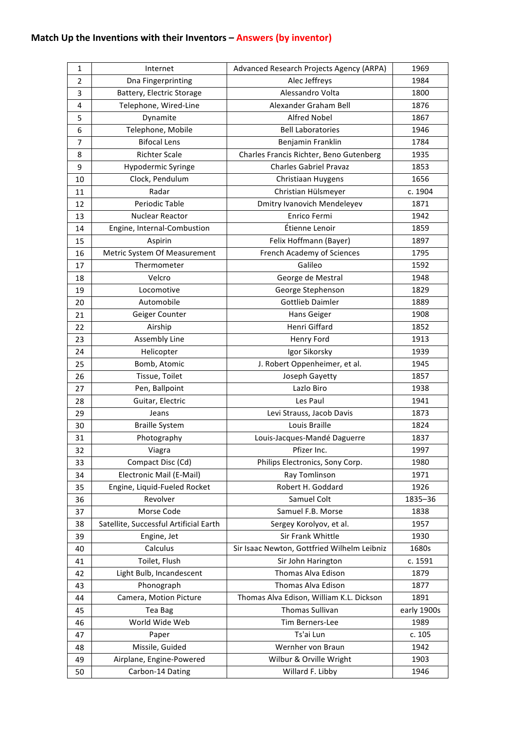## **Match Up the Inventions with their Inventors - Answers (by inventor)**

| 1  | Internet                               | Advanced Research Projects Agency (ARPA)    | 1969        |
|----|----------------------------------------|---------------------------------------------|-------------|
| 2  | Dna Fingerprinting                     | Alec Jeffreys                               | 1984        |
| 3  | Battery, Electric Storage              | Alessandro Volta                            | 1800        |
| 4  | Telephone, Wired-Line                  | Alexander Graham Bell                       | 1876        |
| 5  | Dynamite                               | <b>Alfred Nobel</b>                         | 1867        |
| 6  | Telephone, Mobile                      | <b>Bell Laboratories</b>                    | 1946        |
| 7  | <b>Bifocal Lens</b>                    | Benjamin Franklin                           | 1784        |
| 8  | <b>Richter Scale</b>                   | Charles Francis Richter, Beno Gutenberg     | 1935        |
| 9  | Hypodermic Syringe                     | <b>Charles Gabriel Pravaz</b>               | 1853        |
| 10 | Clock, Pendulum                        | Christiaan Huygens                          | 1656        |
| 11 | Radar                                  | Christian Hülsmeyer                         | c. 1904     |
| 12 | Periodic Table                         | Dmitry Ivanovich Mendeleyev                 | 1871        |
| 13 | Nuclear Reactor                        | Enrico Fermi                                | 1942        |
| 14 | Engine, Internal-Combustion            | Étienne Lenoir                              | 1859        |
| 15 | Aspirin                                | Felix Hoffmann (Bayer)                      | 1897        |
| 16 | Metric System Of Measurement           | French Academy of Sciences                  | 1795        |
| 17 | Thermometer                            | Galileo                                     | 1592        |
| 18 | Velcro                                 | George de Mestral                           | 1948        |
| 19 | Locomotive                             | George Stephenson                           | 1829        |
| 20 | Automobile                             | <b>Gottlieb Daimler</b>                     | 1889        |
| 21 | Geiger Counter                         | Hans Geiger                                 | 1908        |
| 22 | Airship                                | Henri Giffard                               | 1852        |
| 23 | <b>Assembly Line</b>                   | Henry Ford                                  | 1913        |
| 24 | Helicopter                             | Igor Sikorsky                               | 1939        |
| 25 | Bomb, Atomic                           | J. Robert Oppenheimer, et al.               | 1945        |
| 26 | Tissue, Toilet                         | Joseph Gayetty                              | 1857        |
| 27 | Pen, Ballpoint                         | Lazlo Biro                                  | 1938        |
| 28 | Guitar, Electric                       | Les Paul                                    | 1941        |
| 29 | Jeans                                  | Levi Strauss, Jacob Davis                   | 1873        |
| 30 | <b>Braille System</b>                  | Louis Braille                               | 1824        |
| 31 | Photography                            | Louis-Jacques-Mandé Daguerre                | 1837        |
| 32 | Viagra                                 | Pfizer Inc.                                 | 1997        |
| 33 | Compact Disc (Cd)                      | Philips Electronics, Sony Corp.             | 1980        |
| 34 | Electronic Mail (E-Mail)               | Ray Tomlinson                               | 1971        |
| 35 | Engine, Liquid-Fueled Rocket           | Robert H. Goddard                           | 1926        |
| 36 | Revolver                               | Samuel Colt                                 | 1835-36     |
| 37 | Morse Code                             | Samuel F.B. Morse                           | 1838        |
| 38 | Satellite, Successful Artificial Earth | Sergey Korolyov, et al.                     | 1957        |
| 39 | Engine, Jet                            | Sir Frank Whittle                           | 1930        |
| 40 | Calculus                               | Sir Isaac Newton, Gottfried Wilhelm Leibniz | 1680s       |
| 41 | Toilet, Flush                          | Sir John Harington                          | c. 1591     |
| 42 | Light Bulb, Incandescent               | Thomas Alva Edison                          | 1879        |
| 43 | Phonograph                             | Thomas Alva Edison                          | 1877        |
| 44 | Camera, Motion Picture                 | Thomas Alva Edison, William K.L. Dickson    | 1891        |
| 45 | Tea Bag                                | Thomas Sullivan                             | early 1900s |
| 46 | World Wide Web                         | Tim Berners-Lee                             | 1989        |
| 47 | Paper                                  | Ts'ai Lun                                   | c. 105      |
| 48 | Missile, Guided                        | Wernher von Braun                           | 1942        |
| 49 | Airplane, Engine-Powered               | Wilbur & Orville Wright                     | 1903        |
| 50 | Carbon-14 Dating                       | Willard F. Libby                            | 1946        |